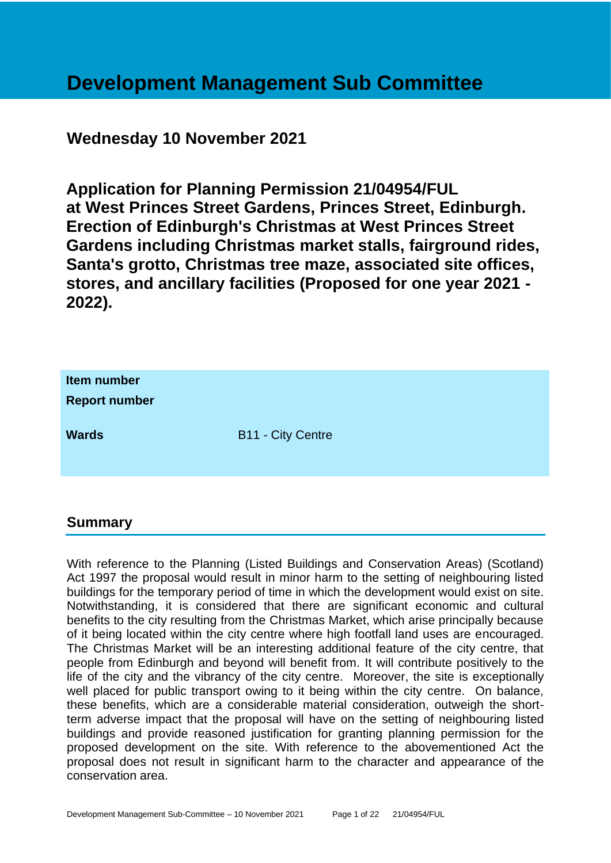# **Development Management Sub Committee**

# **Wednesday 10 November 2021**

**Application for Planning Permission 21/04954/FUL at West Princes Street Gardens, Princes Street, Edinburgh. Erection of Edinburgh's Christmas at West Princes Street Gardens including Christmas market stalls, fairground rides, Santa's grotto, Christmas tree maze, associated site offices, stores, and ancillary facilities (Proposed for one year 2021 - 2022).**

| Item number<br><b>Report number</b> |                          |
|-------------------------------------|--------------------------|
| <b>Wards</b>                        | <b>B11 - City Centre</b> |

# **Summary**

With reference to the Planning (Listed Buildings and Conservation Areas) (Scotland) Act 1997 the proposal would result in minor harm to the setting of neighbouring listed buildings for the temporary period of time in which the development would exist on site. Notwithstanding, it is considered that there are significant economic and cultural benefits to the city resulting from the Christmas Market, which arise principally because of it being located within the city centre where high footfall land uses are encouraged. The Christmas Market will be an interesting additional feature of the city centre, that people from Edinburgh and beyond will benefit from. It will contribute positively to the life of the city and the vibrancy of the city centre. Moreover, the site is exceptionally well placed for public transport owing to it being within the city centre. On balance, these benefits, which are a considerable material consideration, outweigh the shortterm adverse impact that the proposal will have on the setting of neighbouring listed buildings and provide reasoned justification for granting planning permission for the proposed development on the site. With reference to the abovementioned Act the proposal does not result in significant harm to the character and appearance of the conservation area.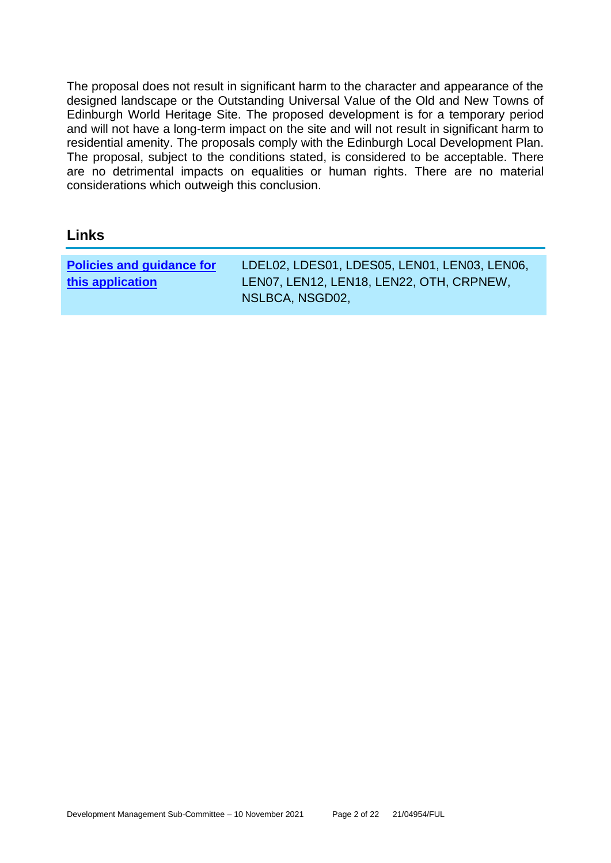The proposal does not result in significant harm to the character and appearance of the designed landscape or the Outstanding Universal Value of the Old and New Towns of Edinburgh World Heritage Site. The proposed development is for a temporary period and will not have a long-term impact on the site and will not result in significant harm to residential amenity. The proposals comply with the Edinburgh Local Development Plan. The proposal, subject to the conditions stated, is considered to be acceptable. There are no detrimental impacts on equalities or human rights. There are no material considerations which outweigh this conclusion.

# **Links**

| NSLBCA, NSGD02, | <b>Policies and guidance for</b><br>this application | LDEL02, LDES01, LDES05, LEN01, LEN03, LEN06,<br>LEN07, LEN12, LEN18, LEN22, OTH, CRPNEW, |
|-----------------|------------------------------------------------------|------------------------------------------------------------------------------------------|
|-----------------|------------------------------------------------------|------------------------------------------------------------------------------------------|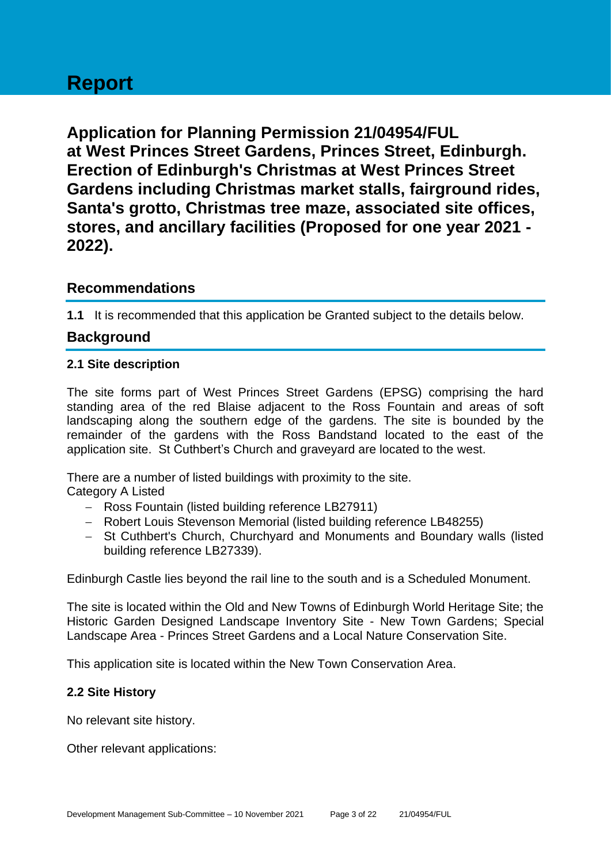# **Report**

**Application for Planning Permission 21/04954/FUL at West Princes Street Gardens, Princes Street, Edinburgh. Erection of Edinburgh's Christmas at West Princes Street Gardens including Christmas market stalls, fairground rides, Santa's grotto, Christmas tree maze, associated site offices, stores, and ancillary facilities (Proposed for one year 2021 - 2022).**

# **Recommendations**

**1.1** It is recommended that this application be Granted subject to the details below.

# **Background**

# **2.1 Site description**

The site forms part of West Princes Street Gardens (EPSG) comprising the hard standing area of the red Blaise adjacent to the Ross Fountain and areas of soft landscaping along the southern edge of the gardens. The site is bounded by the remainder of the gardens with the Ross Bandstand located to the east of the application site. St Cuthbert's Church and graveyard are located to the west.

There are a number of listed buildings with proximity to the site.

Category A Listed

- − Ross Fountain (listed building reference LB27911)
- − Robert Louis Stevenson Memorial (listed building reference LB48255)
- − St Cuthbert's Church, Churchyard and Monuments and Boundary walls (listed building reference LB27339).

Edinburgh Castle lies beyond the rail line to the south and is a Scheduled Monument.

The site is located within the Old and New Towns of Edinburgh World Heritage Site; the Historic Garden Designed Landscape Inventory Site - New Town Gardens; Special Landscape Area - Princes Street Gardens and a Local Nature Conservation Site.

This application site is located within the New Town Conservation Area.

# **2.2 Site History**

No relevant site history.

Other relevant applications: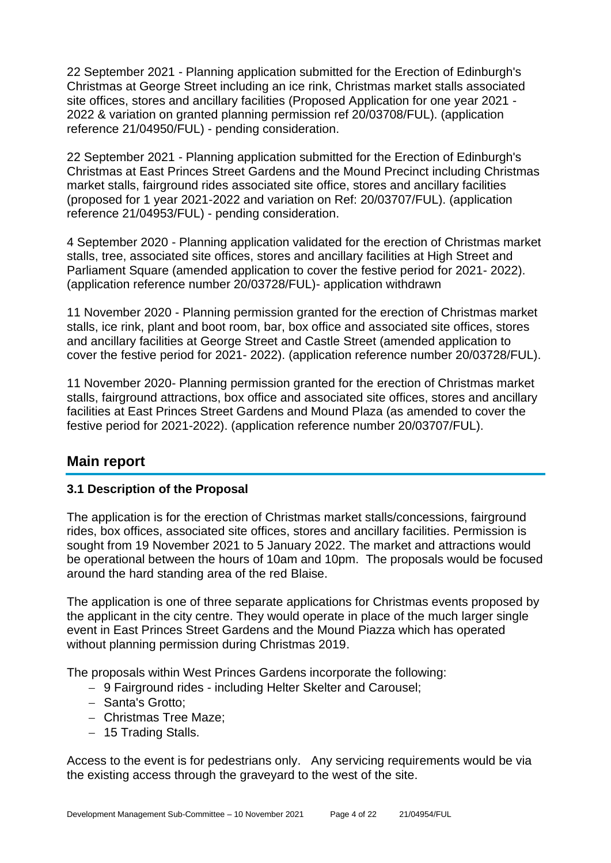22 September 2021 - Planning application submitted for the Erection of Edinburgh's Christmas at George Street including an ice rink, Christmas market stalls associated site offices, stores and ancillary facilities (Proposed Application for one year 2021 - 2022 & variation on granted planning permission ref 20/03708/FUL). (application reference 21/04950/FUL) - pending consideration.

22 September 2021 - Planning application submitted for the Erection of Edinburgh's Christmas at East Princes Street Gardens and the Mound Precinct including Christmas market stalls, fairground rides associated site office, stores and ancillary facilities (proposed for 1 year 2021-2022 and variation on Ref: 20/03707/FUL). (application reference 21/04953/FUL) - pending consideration.

4 September 2020 - Planning application validated for the erection of Christmas market stalls, tree, associated site offices, stores and ancillary facilities at High Street and Parliament Square (amended application to cover the festive period for 2021- 2022). (application reference number 20/03728/FUL)- application withdrawn

11 November 2020 - Planning permission granted for the erection of Christmas market stalls, ice rink, plant and boot room, bar, box office and associated site offices, stores and ancillary facilities at George Street and Castle Street (amended application to cover the festive period for 2021- 2022). (application reference number 20/03728/FUL).

11 November 2020- Planning permission granted for the erection of Christmas market stalls, fairground attractions, box office and associated site offices, stores and ancillary facilities at East Princes Street Gardens and Mound Plaza (as amended to cover the festive period for 2021-2022). (application reference number 20/03707/FUL).

# **Main report**

# **3.1 Description of the Proposal**

The application is for the erection of Christmas market stalls/concessions, fairground rides, box offices, associated site offices, stores and ancillary facilities. Permission is sought from 19 November 2021 to 5 January 2022. The market and attractions would be operational between the hours of 10am and 10pm. The proposals would be focused around the hard standing area of the red Blaise.

The application is one of three separate applications for Christmas events proposed by the applicant in the city centre. They would operate in place of the much larger single event in East Princes Street Gardens and the Mound Piazza which has operated without planning permission during Christmas 2019.

The proposals within West Princes Gardens incorporate the following:

- − 9 Fairground rides including Helter Skelter and Carousel;
- − Santa's Grotto;
- − Christmas Tree Maze;
- − 15 Trading Stalls.

Access to the event is for pedestrians only. Any servicing requirements would be via the existing access through the graveyard to the west of the site.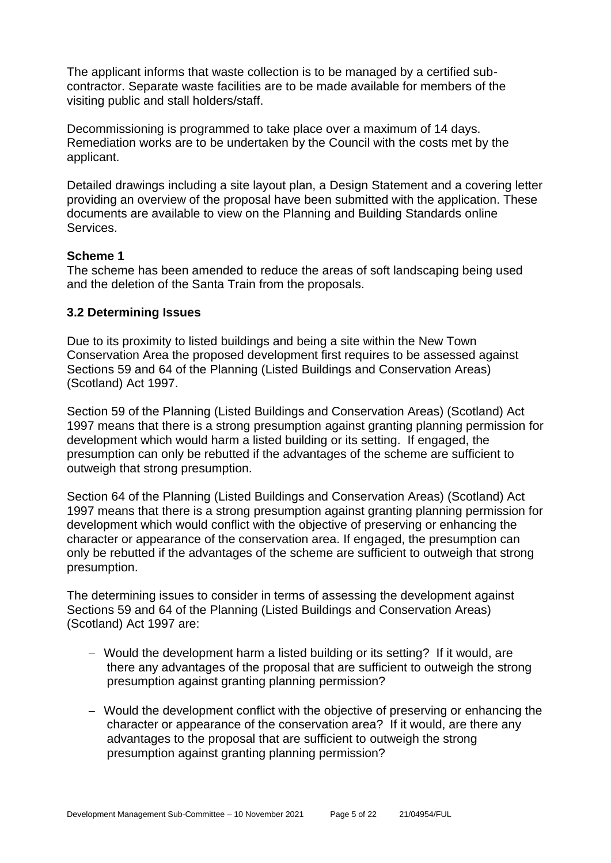The applicant informs that waste collection is to be managed by a certified subcontractor. Separate waste facilities are to be made available for members of the visiting public and stall holders/staff.

Decommissioning is programmed to take place over a maximum of 14 days. Remediation works are to be undertaken by the Council with the costs met by the applicant.

Detailed drawings including a site layout plan, a Design Statement and a covering letter providing an overview of the proposal have been submitted with the application. These documents are available to view on the Planning and Building Standards online Services.

# **Scheme 1**

The scheme has been amended to reduce the areas of soft landscaping being used and the deletion of the Santa Train from the proposals.

#### **3.2 Determining Issues**

Due to its proximity to listed buildings and being a site within the New Town Conservation Area the proposed development first requires to be assessed against Sections 59 and 64 of the Planning (Listed Buildings and Conservation Areas) (Scotland) Act 1997.

Section 59 of the Planning (Listed Buildings and Conservation Areas) (Scotland) Act 1997 means that there is a strong presumption against granting planning permission for development which would harm a listed building or its setting. If engaged, the presumption can only be rebutted if the advantages of the scheme are sufficient to outweigh that strong presumption.

Section 64 of the Planning (Listed Buildings and Conservation Areas) (Scotland) Act 1997 means that there is a strong presumption against granting planning permission for development which would conflict with the objective of preserving or enhancing the character or appearance of the conservation area. If engaged, the presumption can only be rebutted if the advantages of the scheme are sufficient to outweigh that strong presumption.

The determining issues to consider in terms of assessing the development against Sections 59 and 64 of the Planning (Listed Buildings and Conservation Areas) (Scotland) Act 1997 are:

- − Would the development harm a listed building or its setting? If it would, are there any advantages of the proposal that are sufficient to outweigh the strong presumption against granting planning permission?
- − Would the development conflict with the objective of preserving or enhancing the character or appearance of the conservation area? If it would, are there any advantages to the proposal that are sufficient to outweigh the strong presumption against granting planning permission?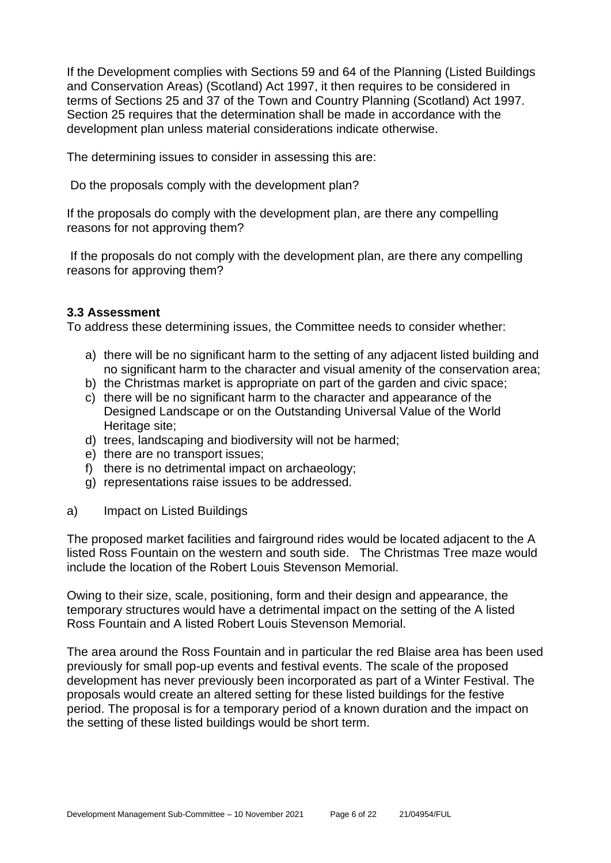If the Development complies with Sections 59 and 64 of the Planning (Listed Buildings and Conservation Areas) (Scotland) Act 1997, it then requires to be considered in terms of Sections 25 and 37 of the Town and Country Planning (Scotland) Act 1997. Section 25 requires that the determination shall be made in accordance with the development plan unless material considerations indicate otherwise.

The determining issues to consider in assessing this are:

Do the proposals comply with the development plan?

If the proposals do comply with the development plan, are there any compelling reasons for not approving them?

If the proposals do not comply with the development plan, are there any compelling reasons for approving them?

#### **3.3 Assessment**

To address these determining issues, the Committee needs to consider whether:

- a) there will be no significant harm to the setting of any adjacent listed building and no significant harm to the character and visual amenity of the conservation area;
- b) the Christmas market is appropriate on part of the garden and civic space;
- c) there will be no significant harm to the character and appearance of the Designed Landscape or on the Outstanding Universal Value of the World Heritage site;
- d) trees, landscaping and biodiversity will not be harmed;
- e) there are no transport issues;
- f) there is no detrimental impact on archaeology:
- g) representations raise issues to be addressed.
- a) Impact on Listed Buildings

The proposed market facilities and fairground rides would be located adjacent to the A listed Ross Fountain on the western and south side. The Christmas Tree maze would include the location of the Robert Louis Stevenson Memorial.

Owing to their size, scale, positioning, form and their design and appearance, the temporary structures would have a detrimental impact on the setting of the A listed Ross Fountain and A listed Robert Louis Stevenson Memorial.

The area around the Ross Fountain and in particular the red Blaise area has been used previously for small pop-up events and festival events. The scale of the proposed development has never previously been incorporated as part of a Winter Festival. The proposals would create an altered setting for these listed buildings for the festive period. The proposal is for a temporary period of a known duration and the impact on the setting of these listed buildings would be short term.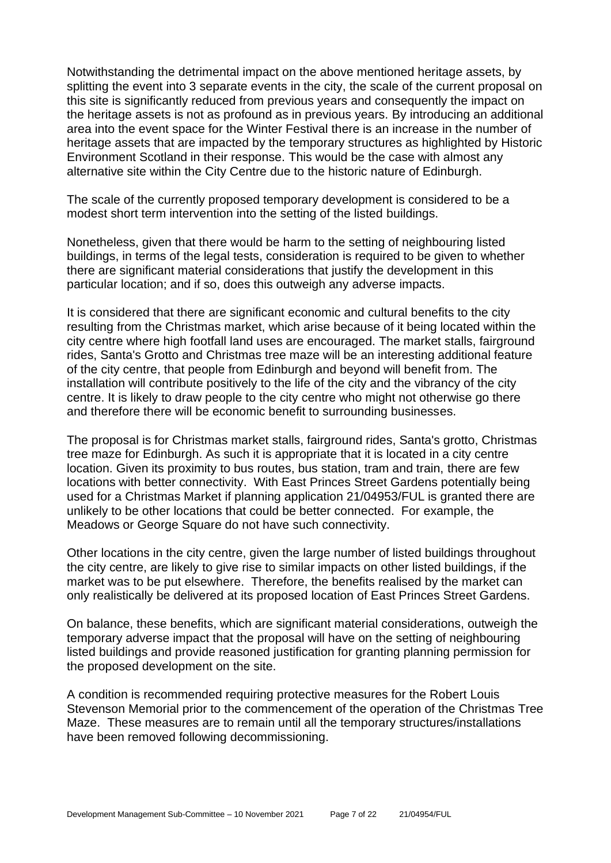Notwithstanding the detrimental impact on the above mentioned heritage assets, by splitting the event into 3 separate events in the city, the scale of the current proposal on this site is significantly reduced from previous years and consequently the impact on the heritage assets is not as profound as in previous years. By introducing an additional area into the event space for the Winter Festival there is an increase in the number of heritage assets that are impacted by the temporary structures as highlighted by Historic Environment Scotland in their response. This would be the case with almost any alternative site within the City Centre due to the historic nature of Edinburgh.

The scale of the currently proposed temporary development is considered to be a modest short term intervention into the setting of the listed buildings.

Nonetheless, given that there would be harm to the setting of neighbouring listed buildings, in terms of the legal tests, consideration is required to be given to whether there are significant material considerations that justify the development in this particular location; and if so, does this outweigh any adverse impacts.

It is considered that there are significant economic and cultural benefits to the city resulting from the Christmas market, which arise because of it being located within the city centre where high footfall land uses are encouraged. The market stalls, fairground rides, Santa's Grotto and Christmas tree maze will be an interesting additional feature of the city centre, that people from Edinburgh and beyond will benefit from. The installation will contribute positively to the life of the city and the vibrancy of the city centre. It is likely to draw people to the city centre who might not otherwise go there and therefore there will be economic benefit to surrounding businesses.

The proposal is for Christmas market stalls, fairground rides, Santa's grotto, Christmas tree maze for Edinburgh. As such it is appropriate that it is located in a city centre location. Given its proximity to bus routes, bus station, tram and train, there are few locations with better connectivity. With East Princes Street Gardens potentially being used for a Christmas Market if planning application 21/04953/FUL is granted there are unlikely to be other locations that could be better connected. For example, the Meadows or George Square do not have such connectivity.

Other locations in the city centre, given the large number of listed buildings throughout the city centre, are likely to give rise to similar impacts on other listed buildings, if the market was to be put elsewhere. Therefore, the benefits realised by the market can only realistically be delivered at its proposed location of East Princes Street Gardens.

On balance, these benefits, which are significant material considerations, outweigh the temporary adverse impact that the proposal will have on the setting of neighbouring listed buildings and provide reasoned justification for granting planning permission for the proposed development on the site.

A condition is recommended requiring protective measures for the Robert Louis Stevenson Memorial prior to the commencement of the operation of the Christmas Tree Maze. These measures are to remain until all the temporary structures/installations have been removed following decommissioning.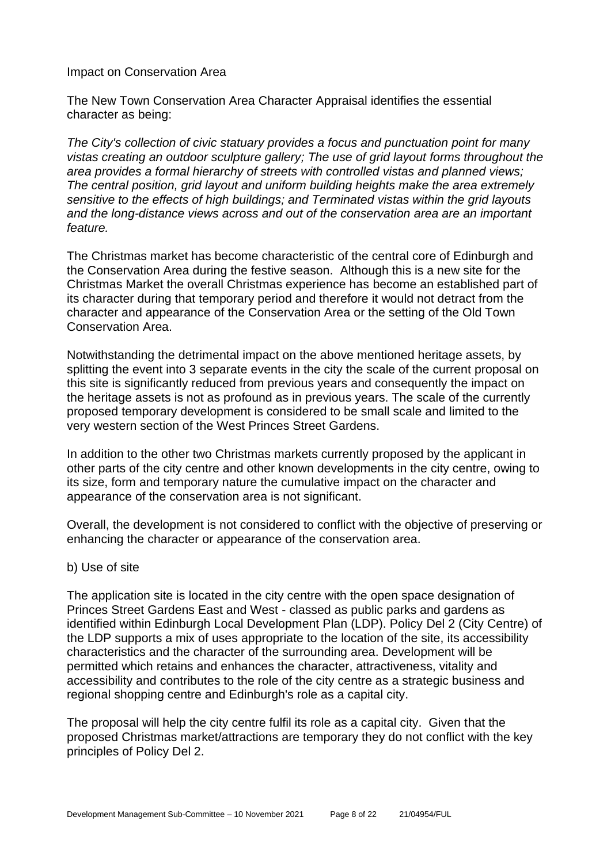#### Impact on Conservation Area

The New Town Conservation Area Character Appraisal identifies the essential character as being:

*The City's collection of civic statuary provides a focus and punctuation point for many vistas creating an outdoor sculpture gallery; The use of grid layout forms throughout the area provides a formal hierarchy of streets with controlled vistas and planned views; The central position, grid layout and uniform building heights make the area extremely sensitive to the effects of high buildings; and Terminated vistas within the grid layouts and the long-distance views across and out of the conservation area are an important feature.*

The Christmas market has become characteristic of the central core of Edinburgh and the Conservation Area during the festive season. Although this is a new site for the Christmas Market the overall Christmas experience has become an established part of its character during that temporary period and therefore it would not detract from the character and appearance of the Conservation Area or the setting of the Old Town Conservation Area.

Notwithstanding the detrimental impact on the above mentioned heritage assets, by splitting the event into 3 separate events in the city the scale of the current proposal on this site is significantly reduced from previous years and consequently the impact on the heritage assets is not as profound as in previous years. The scale of the currently proposed temporary development is considered to be small scale and limited to the very western section of the West Princes Street Gardens.

In addition to the other two Christmas markets currently proposed by the applicant in other parts of the city centre and other known developments in the city centre, owing to its size, form and temporary nature the cumulative impact on the character and appearance of the conservation area is not significant.

Overall, the development is not considered to conflict with the objective of preserving or enhancing the character or appearance of the conservation area.

#### b) Use of site

The application site is located in the city centre with the open space designation of Princes Street Gardens East and West - classed as public parks and gardens as identified within Edinburgh Local Development Plan (LDP). Policy Del 2 (City Centre) of the LDP supports a mix of uses appropriate to the location of the site, its accessibility characteristics and the character of the surrounding area. Development will be permitted which retains and enhances the character, attractiveness, vitality and accessibility and contributes to the role of the city centre as a strategic business and regional shopping centre and Edinburgh's role as a capital city.

The proposal will help the city centre fulfil its role as a capital city. Given that the proposed Christmas market/attractions are temporary they do not conflict with the key principles of Policy Del 2.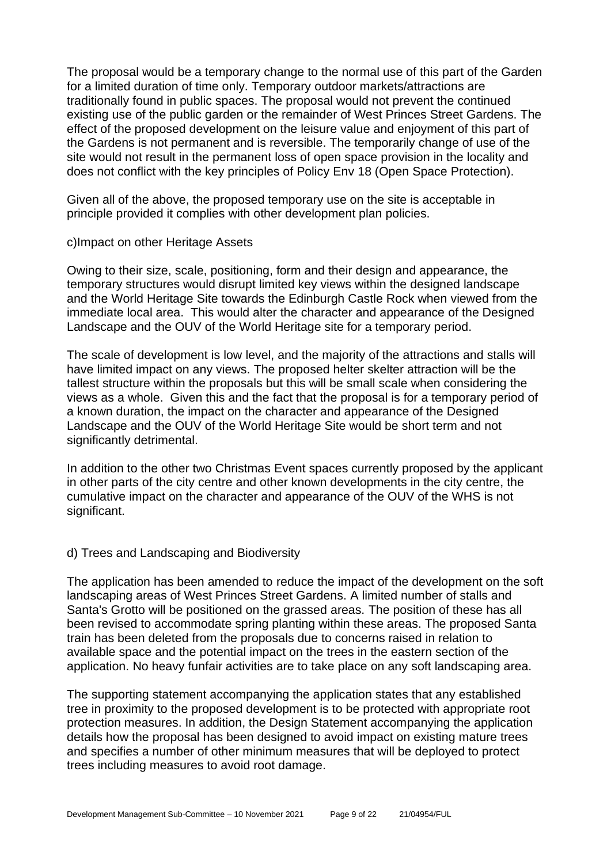The proposal would be a temporary change to the normal use of this part of the Garden for a limited duration of time only. Temporary outdoor markets/attractions are traditionally found in public spaces. The proposal would not prevent the continued existing use of the public garden or the remainder of West Princes Street Gardens. The effect of the proposed development on the leisure value and enjoyment of this part of the Gardens is not permanent and is reversible. The temporarily change of use of the site would not result in the permanent loss of open space provision in the locality and does not conflict with the key principles of Policy Env 18 (Open Space Protection).

Given all of the above, the proposed temporary use on the site is acceptable in principle provided it complies with other development plan policies.

#### c)Impact on other Heritage Assets

Owing to their size, scale, positioning, form and their design and appearance, the temporary structures would disrupt limited key views within the designed landscape and the World Heritage Site towards the Edinburgh Castle Rock when viewed from the immediate local area. This would alter the character and appearance of the Designed Landscape and the OUV of the World Heritage site for a temporary period.

The scale of development is low level, and the majority of the attractions and stalls will have limited impact on any views. The proposed helter skelter attraction will be the tallest structure within the proposals but this will be small scale when considering the views as a whole. Given this and the fact that the proposal is for a temporary period of a known duration, the impact on the character and appearance of the Designed Landscape and the OUV of the World Heritage Site would be short term and not significantly detrimental.

In addition to the other two Christmas Event spaces currently proposed by the applicant in other parts of the city centre and other known developments in the city centre, the cumulative impact on the character and appearance of the OUV of the WHS is not significant.

# d) Trees and Landscaping and Biodiversity

The application has been amended to reduce the impact of the development on the soft landscaping areas of West Princes Street Gardens. A limited number of stalls and Santa's Grotto will be positioned on the grassed areas. The position of these has all been revised to accommodate spring planting within these areas. The proposed Santa train has been deleted from the proposals due to concerns raised in relation to available space and the potential impact on the trees in the eastern section of the application. No heavy funfair activities are to take place on any soft landscaping area.

The supporting statement accompanying the application states that any established tree in proximity to the proposed development is to be protected with appropriate root protection measures. In addition, the Design Statement accompanying the application details how the proposal has been designed to avoid impact on existing mature trees and specifies a number of other minimum measures that will be deployed to protect trees including measures to avoid root damage.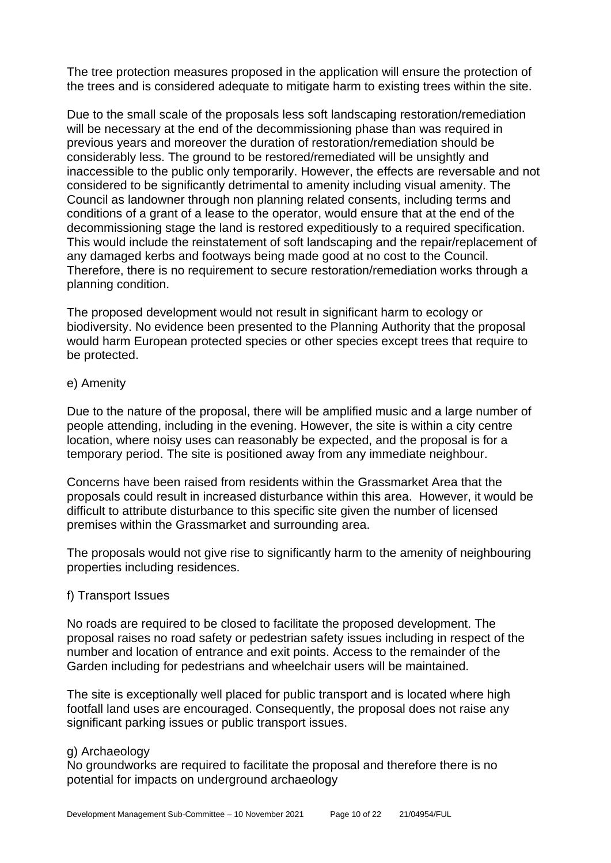The tree protection measures proposed in the application will ensure the protection of the trees and is considered adequate to mitigate harm to existing trees within the site.

Due to the small scale of the proposals less soft landscaping restoration/remediation will be necessary at the end of the decommissioning phase than was required in previous years and moreover the duration of restoration/remediation should be considerably less. The ground to be restored/remediated will be unsightly and inaccessible to the public only temporarily. However, the effects are reversable and not considered to be significantly detrimental to amenity including visual amenity. The Council as landowner through non planning related consents, including terms and conditions of a grant of a lease to the operator, would ensure that at the end of the decommissioning stage the land is restored expeditiously to a required specification. This would include the reinstatement of soft landscaping and the repair/replacement of any damaged kerbs and footways being made good at no cost to the Council. Therefore, there is no requirement to secure restoration/remediation works through a planning condition.

The proposed development would not result in significant harm to ecology or biodiversity. No evidence been presented to the Planning Authority that the proposal would harm European protected species or other species except trees that require to be protected.

#### e) Amenity

Due to the nature of the proposal, there will be amplified music and a large number of people attending, including in the evening. However, the site is within a city centre location, where noisy uses can reasonably be expected, and the proposal is for a temporary period. The site is positioned away from any immediate neighbour.

Concerns have been raised from residents within the Grassmarket Area that the proposals could result in increased disturbance within this area. However, it would be difficult to attribute disturbance to this specific site given the number of licensed premises within the Grassmarket and surrounding area.

The proposals would not give rise to significantly harm to the amenity of neighbouring properties including residences.

#### f) Transport Issues

No roads are required to be closed to facilitate the proposed development. The proposal raises no road safety or pedestrian safety issues including in respect of the number and location of entrance and exit points. Access to the remainder of the Garden including for pedestrians and wheelchair users will be maintained.

The site is exceptionally well placed for public transport and is located where high footfall land uses are encouraged. Consequently, the proposal does not raise any significant parking issues or public transport issues.

#### g) Archaeology

No groundworks are required to facilitate the proposal and therefore there is no potential for impacts on underground archaeology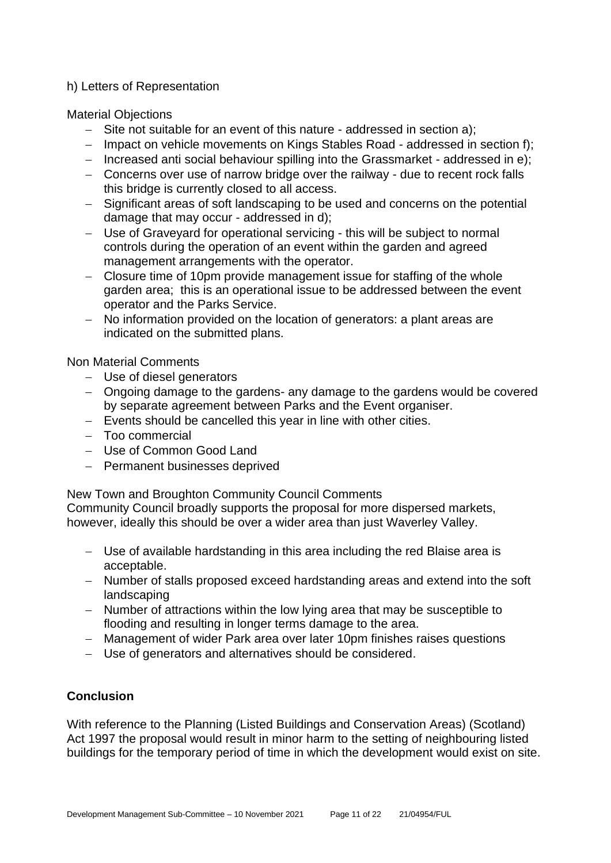# h) Letters of Representation

Material Objections

- − Site not suitable for an event of this nature addressed in section a);
- − Impact on vehicle movements on Kings Stables Road addressed in section f);
- − Increased anti social behaviour spilling into the Grassmarket addressed in e);
- − Concerns over use of narrow bridge over the railway due to recent rock falls this bridge is currently closed to all access.
- − Significant areas of soft landscaping to be used and concerns on the potential damage that may occur - addressed in d);
- − Use of Graveyard for operational servicing this will be subject to normal controls during the operation of an event within the garden and agreed management arrangements with the operator.
- − Closure time of 10pm provide management issue for staffing of the whole garden area; this is an operational issue to be addressed between the event operator and the Parks Service.
- − No information provided on the location of generators: a plant areas are indicated on the submitted plans.

Non Material Comments

- − Use of diesel generators
- − Ongoing damage to the gardens- any damage to the gardens would be covered by separate agreement between Parks and the Event organiser.
- − Events should be cancelled this year in line with other cities.
- − Too commercial
- − Use of Common Good Land
- − Permanent businesses deprived

New Town and Broughton Community Council Comments

Community Council broadly supports the proposal for more dispersed markets, however, ideally this should be over a wider area than just Waverley Valley.

- − Use of available hardstanding in this area including the red Blaise area is acceptable.
- − Number of stalls proposed exceed hardstanding areas and extend into the soft landscaping
- − Number of attractions within the low lying area that may be susceptible to flooding and resulting in longer terms damage to the area.
- − Management of wider Park area over later 10pm finishes raises questions
- − Use of generators and alternatives should be considered.

# **Conclusion**

With reference to the Planning (Listed Buildings and Conservation Areas) (Scotland) Act 1997 the proposal would result in minor harm to the setting of neighbouring listed buildings for the temporary period of time in which the development would exist on site.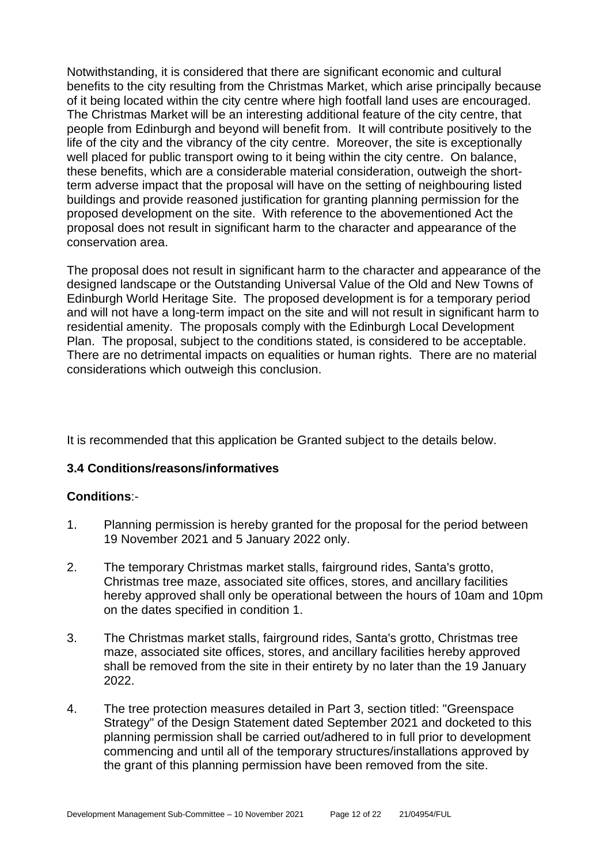Notwithstanding, it is considered that there are significant economic and cultural benefits to the city resulting from the Christmas Market, which arise principally because of it being located within the city centre where high footfall land uses are encouraged. The Christmas Market will be an interesting additional feature of the city centre, that people from Edinburgh and beyond will benefit from. It will contribute positively to the life of the city and the vibrancy of the city centre. Moreover, the site is exceptionally well placed for public transport owing to it being within the city centre. On balance, these benefits, which are a considerable material consideration, outweigh the shortterm adverse impact that the proposal will have on the setting of neighbouring listed buildings and provide reasoned justification for granting planning permission for the proposed development on the site. With reference to the abovementioned Act the proposal does not result in significant harm to the character and appearance of the conservation area.

The proposal does not result in significant harm to the character and appearance of the designed landscape or the Outstanding Universal Value of the Old and New Towns of Edinburgh World Heritage Site. The proposed development is for a temporary period and will not have a long-term impact on the site and will not result in significant harm to residential amenity. The proposals comply with the Edinburgh Local Development Plan. The proposal, subject to the conditions stated, is considered to be acceptable. There are no detrimental impacts on equalities or human rights. There are no material considerations which outweigh this conclusion.

It is recommended that this application be Granted subject to the details below.

# **3.4 Conditions/reasons/informatives**

# **Conditions**:-

- 1. Planning permission is hereby granted for the proposal for the period between 19 November 2021 and 5 January 2022 only.
- 2. The temporary Christmas market stalls, fairground rides, Santa's grotto, Christmas tree maze, associated site offices, stores, and ancillary facilities hereby approved shall only be operational between the hours of 10am and 10pm on the dates specified in condition 1.
- 3. The Christmas market stalls, fairground rides, Santa's grotto, Christmas tree maze, associated site offices, stores, and ancillary facilities hereby approved shall be removed from the site in their entirety by no later than the 19 January 2022.
- 4. The tree protection measures detailed in Part 3, section titled: "Greenspace Strategy" of the Design Statement dated September 2021 and docketed to this planning permission shall be carried out/adhered to in full prior to development commencing and until all of the temporary structures/installations approved by the grant of this planning permission have been removed from the site.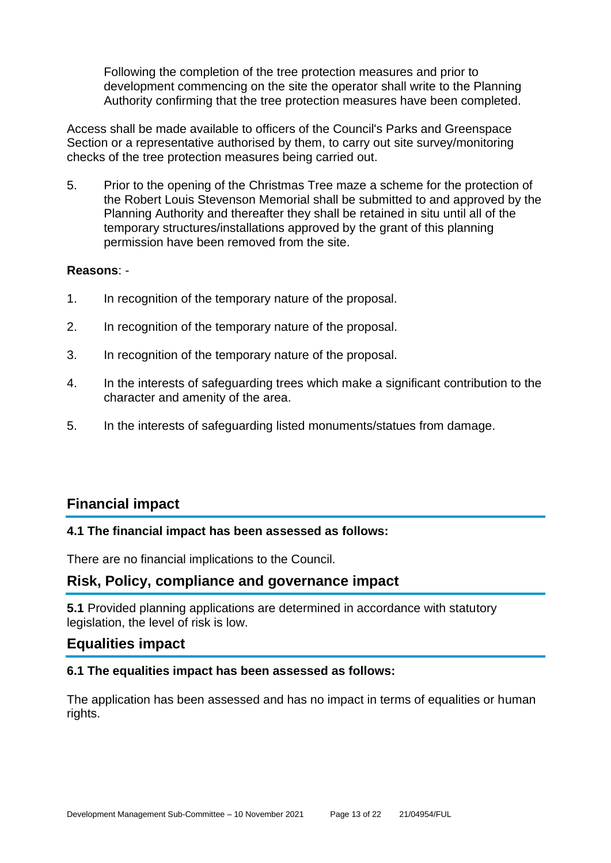Following the completion of the tree protection measures and prior to development commencing on the site the operator shall write to the Planning Authority confirming that the tree protection measures have been completed.

Access shall be made available to officers of the Council's Parks and Greenspace Section or a representative authorised by them, to carry out site survey/monitoring checks of the tree protection measures being carried out.

5. Prior to the opening of the Christmas Tree maze a scheme for the protection of the Robert Louis Stevenson Memorial shall be submitted to and approved by the Planning Authority and thereafter they shall be retained in situ until all of the temporary structures/installations approved by the grant of this planning permission have been removed from the site.

#### **Reasons**: -

- 1. In recognition of the temporary nature of the proposal.
- 2. In recognition of the temporary nature of the proposal.
- 3. In recognition of the temporary nature of the proposal.
- 4. In the interests of safeguarding trees which make a significant contribution to the character and amenity of the area.
- 5. In the interests of safeguarding listed monuments/statues from damage.

# **Financial impact**

#### **4.1 The financial impact has been assessed as follows:**

There are no financial implications to the Council.

# **Risk, Policy, compliance and governance impact**

**5.1** Provided planning applications are determined in accordance with statutory legislation, the level of risk is low.

# **Equalities impact**

#### **6.1 The equalities impact has been assessed as follows:**

The application has been assessed and has no impact in terms of equalities or human rights.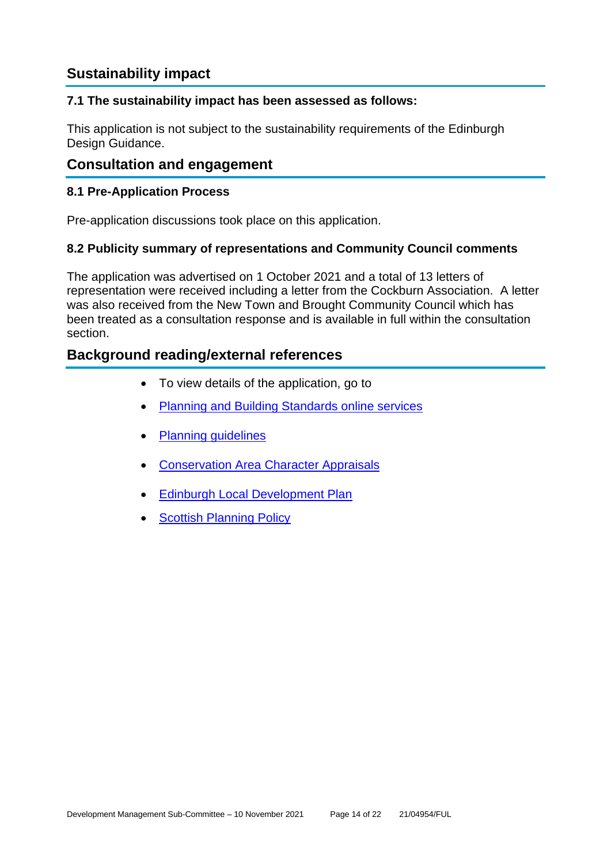# **Sustainability impact**

# **7.1 The sustainability impact has been assessed as follows:**

This application is not subject to the sustainability requirements of the Edinburgh Design Guidance.

# **Consultation and engagement**

# **8.1 Pre-Application Process**

Pre-application discussions took place on this application.

# **8.2 Publicity summary of representations and Community Council comments**

The application was advertised on 1 October 2021 and a total of 13 letters of representation were received including a letter from the Cockburn Association. A letter was also received from the New Town and Brought Community Council which has been treated as a consultation response and is available in full within the consultation section.

# **Background reading/external references**

- To view details of the application, go to
- [Planning and Building Standards online services](https://citydev-portal.edinburgh.gov.uk/idoxpa-web/search.do?action=simple&searchType=Application)
- [Planning guidelines](http://www.edinburgh.gov.uk/planningguidelines)
- [Conservation Area Character Appraisals](http://www.edinburgh.gov.uk/characterappraisals)
- **[Edinburgh Local Development Plan](http://www.edinburgh.gov.uk/localdevelopmentplan)**
- **[Scottish Planning Policy](http://www.scotland.gov.uk/Topics/Built-Environment/planning/Policy)**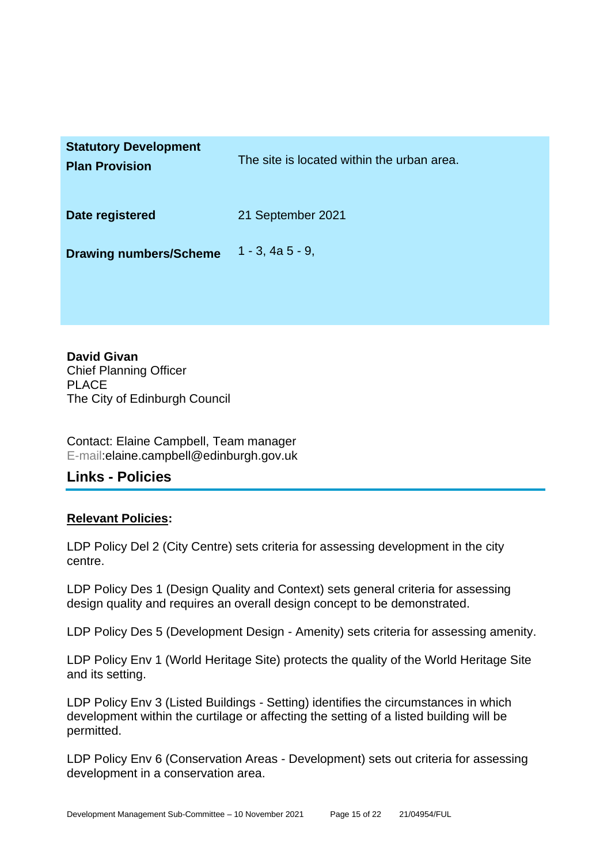| <b>Statutory Development</b><br><b>Plan Provision</b> | The site is located within the urban area. |
|-------------------------------------------------------|--------------------------------------------|
| Date registered                                       | 21 September 2021                          |
| <b>Drawing numbers/Scheme</b>                         | $1 - 3$ , 4a $5 - 9$ ,                     |

**David Givan** Chief Planning Officer PLACE The City of Edinburgh Council

Contact: Elaine Campbell, Team manager E-mail:elaine.campbell@edinburgh.gov.uk

# **Links - Policies**

# **Relevant Policies:**

LDP Policy Del 2 (City Centre) sets criteria for assessing development in the city centre.

LDP Policy Des 1 (Design Quality and Context) sets general criteria for assessing design quality and requires an overall design concept to be demonstrated.

LDP Policy Des 5 (Development Design - Amenity) sets criteria for assessing amenity.

LDP Policy Env 1 (World Heritage Site) protects the quality of the World Heritage Site and its setting.

LDP Policy Env 3 (Listed Buildings - Setting) identifies the circumstances in which development within the curtilage or affecting the setting of a listed building will be permitted.

LDP Policy Env 6 (Conservation Areas - Development) sets out criteria for assessing development in a conservation area.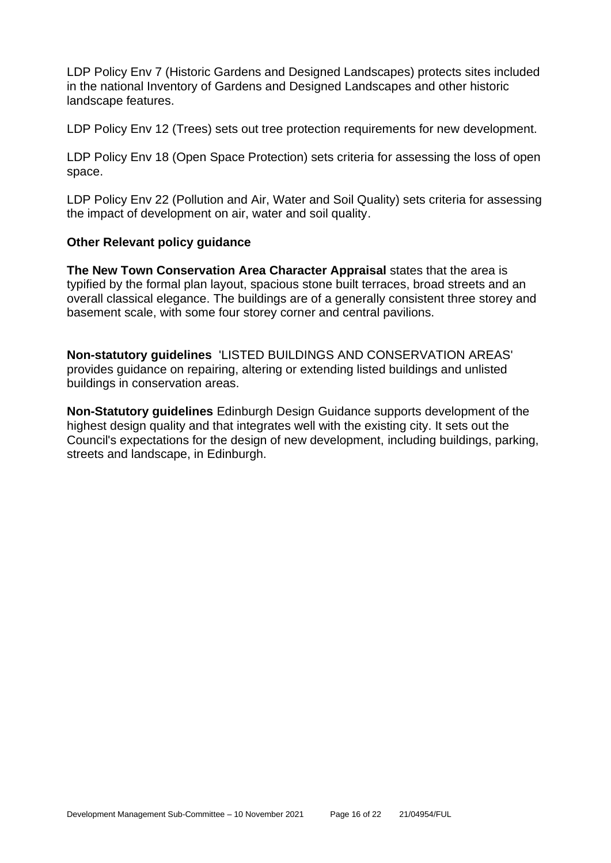LDP Policy Env 7 (Historic Gardens and Designed Landscapes) protects sites included in the national Inventory of Gardens and Designed Landscapes and other historic landscape features.

LDP Policy Env 12 (Trees) sets out tree protection requirements for new development.

LDP Policy Env 18 (Open Space Protection) sets criteria for assessing the loss of open space.

LDP Policy Env 22 (Pollution and Air, Water and Soil Quality) sets criteria for assessing the impact of development on air, water and soil quality.

# **Other Relevant policy guidance**

**The New Town Conservation Area Character Appraisal** states that the area is typified by the formal plan layout, spacious stone built terraces, broad streets and an overall classical elegance. The buildings are of a generally consistent three storey and basement scale, with some four storey corner and central pavilions.

**Non-statutory guidelines** 'LISTED BUILDINGS AND CONSERVATION AREAS' provides guidance on repairing, altering or extending listed buildings and unlisted buildings in conservation areas.

**Non-Statutory guidelines** Edinburgh Design Guidance supports development of the highest design quality and that integrates well with the existing city. It sets out the Council's expectations for the design of new development, including buildings, parking, streets and landscape, in Edinburgh.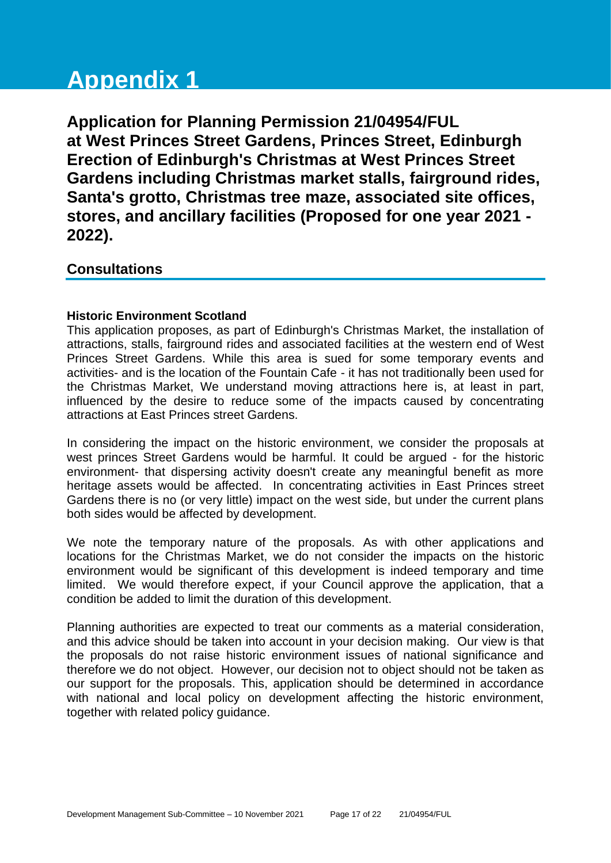# **Appendix 1**

**Application for Planning Permission 21/04954/FUL at West Princes Street Gardens, Princes Street, Edinburgh Erection of Edinburgh's Christmas at West Princes Street Gardens including Christmas market stalls, fairground rides, Santa's grotto, Christmas tree maze, associated site offices, stores, and ancillary facilities (Proposed for one year 2021 - 2022).**

# **Consultations**

# **Historic Environment Scotland**

This application proposes, as part of Edinburgh's Christmas Market, the installation of attractions, stalls, fairground rides and associated facilities at the western end of West Princes Street Gardens. While this area is sued for some temporary events and activities- and is the location of the Fountain Cafe - it has not traditionally been used for the Christmas Market, We understand moving attractions here is, at least in part, influenced by the desire to reduce some of the impacts caused by concentrating attractions at East Princes street Gardens.

In considering the impact on the historic environment, we consider the proposals at west princes Street Gardens would be harmful. It could be argued - for the historic environment- that dispersing activity doesn't create any meaningful benefit as more heritage assets would be affected. In concentrating activities in East Princes street Gardens there is no (or very little) impact on the west side, but under the current plans both sides would be affected by development.

We note the temporary nature of the proposals. As with other applications and locations for the Christmas Market, we do not consider the impacts on the historic environment would be significant of this development is indeed temporary and time limited. We would therefore expect, if your Council approve the application, that a condition be added to limit the duration of this development.

Planning authorities are expected to treat our comments as a material consideration, and this advice should be taken into account in your decision making. Our view is that the proposals do not raise historic environment issues of national significance and therefore we do not object. However, our decision not to object should not be taken as our support for the proposals. This, application should be determined in accordance with national and local policy on development affecting the historic environment, together with related policy guidance.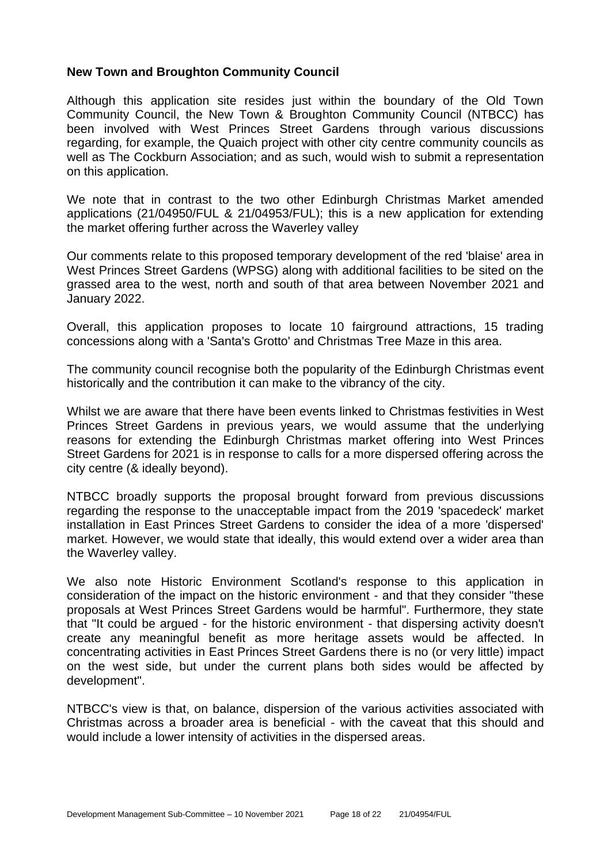#### **New Town and Broughton Community Council**

Although this application site resides just within the boundary of the Old Town Community Council, the New Town & Broughton Community Council (NTBCC) has been involved with West Princes Street Gardens through various discussions regarding, for example, the Quaich project with other city centre community councils as well as The Cockburn Association; and as such, would wish to submit a representation on this application.

We note that in contrast to the two other Edinburgh Christmas Market amended applications (21/04950/FUL & 21/04953/FUL); this is a new application for extending the market offering further across the Waverley valley

Our comments relate to this proposed temporary development of the red 'blaise' area in West Princes Street Gardens (WPSG) along with additional facilities to be sited on the grassed area to the west, north and south of that area between November 2021 and January 2022.

Overall, this application proposes to locate 10 fairground attractions, 15 trading concessions along with a 'Santa's Grotto' and Christmas Tree Maze in this area.

The community council recognise both the popularity of the Edinburgh Christmas event historically and the contribution it can make to the vibrancy of the city.

Whilst we are aware that there have been events linked to Christmas festivities in West Princes Street Gardens in previous years, we would assume that the underlying reasons for extending the Edinburgh Christmas market offering into West Princes Street Gardens for 2021 is in response to calls for a more dispersed offering across the city centre (& ideally beyond).

NTBCC broadly supports the proposal brought forward from previous discussions regarding the response to the unacceptable impact from the 2019 'spacedeck' market installation in East Princes Street Gardens to consider the idea of a more 'dispersed' market. However, we would state that ideally, this would extend over a wider area than the Waverley valley.

We also note Historic Environment Scotland's response to this application in consideration of the impact on the historic environment - and that they consider "these proposals at West Princes Street Gardens would be harmful". Furthermore, they state that "It could be argued - for the historic environment - that dispersing activity doesn't create any meaningful benefit as more heritage assets would be affected. In concentrating activities in East Princes Street Gardens there is no (or very little) impact on the west side, but under the current plans both sides would be affected by development".

NTBCC's view is that, on balance, dispersion of the various activities associated with Christmas across a broader area is beneficial - with the caveat that this should and would include a lower intensity of activities in the dispersed areas.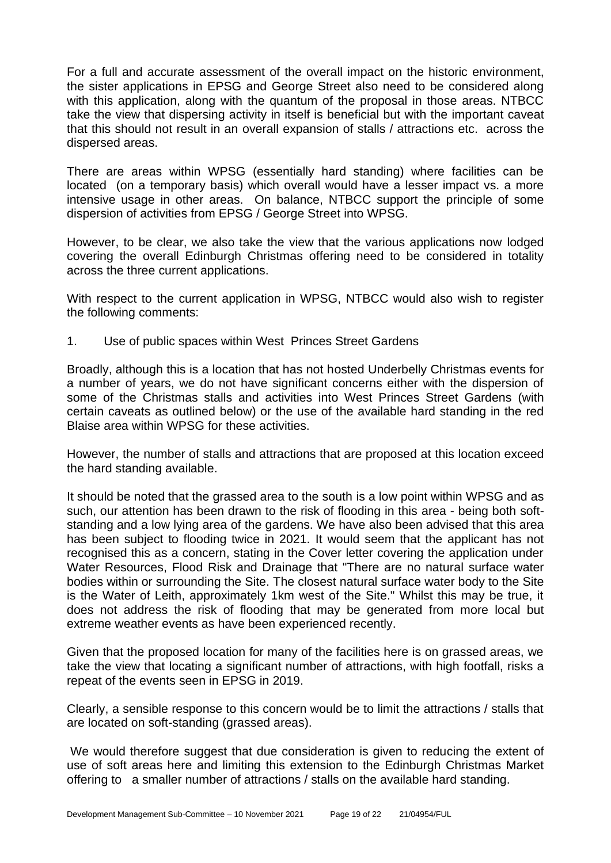For a full and accurate assessment of the overall impact on the historic environment, the sister applications in EPSG and George Street also need to be considered along with this application, along with the quantum of the proposal in those areas. NTBCC take the view that dispersing activity in itself is beneficial but with the important caveat that this should not result in an overall expansion of stalls / attractions etc. across the dispersed areas.

There are areas within WPSG (essentially hard standing) where facilities can be located (on a temporary basis) which overall would have a lesser impact vs. a more intensive usage in other areas. On balance, NTBCC support the principle of some dispersion of activities from EPSG / George Street into WPSG.

However, to be clear, we also take the view that the various applications now lodged covering the overall Edinburgh Christmas offering need to be considered in totality across the three current applications.

With respect to the current application in WPSG, NTBCC would also wish to register the following comments:

1. Use of public spaces within West Princes Street Gardens

Broadly, although this is a location that has not hosted Underbelly Christmas events for a number of years, we do not have significant concerns either with the dispersion of some of the Christmas stalls and activities into West Princes Street Gardens (with certain caveats as outlined below) or the use of the available hard standing in the red Blaise area within WPSG for these activities.

However, the number of stalls and attractions that are proposed at this location exceed the hard standing available.

It should be noted that the grassed area to the south is a low point within WPSG and as such, our attention has been drawn to the risk of flooding in this area - being both softstanding and a low lying area of the gardens. We have also been advised that this area has been subject to flooding twice in 2021. It would seem that the applicant has not recognised this as a concern, stating in the Cover letter covering the application under Water Resources, Flood Risk and Drainage that "There are no natural surface water bodies within or surrounding the Site. The closest natural surface water body to the Site is the Water of Leith, approximately 1km west of the Site." Whilst this may be true, it does not address the risk of flooding that may be generated from more local but extreme weather events as have been experienced recently.

Given that the proposed location for many of the facilities here is on grassed areas, we take the view that locating a significant number of attractions, with high footfall, risks a repeat of the events seen in EPSG in 2019.

Clearly, a sensible response to this concern would be to limit the attractions / stalls that are located on soft-standing (grassed areas).

We would therefore suggest that due consideration is given to reducing the extent of use of soft areas here and limiting this extension to the Edinburgh Christmas Market offering to a smaller number of attractions / stalls on the available hard standing.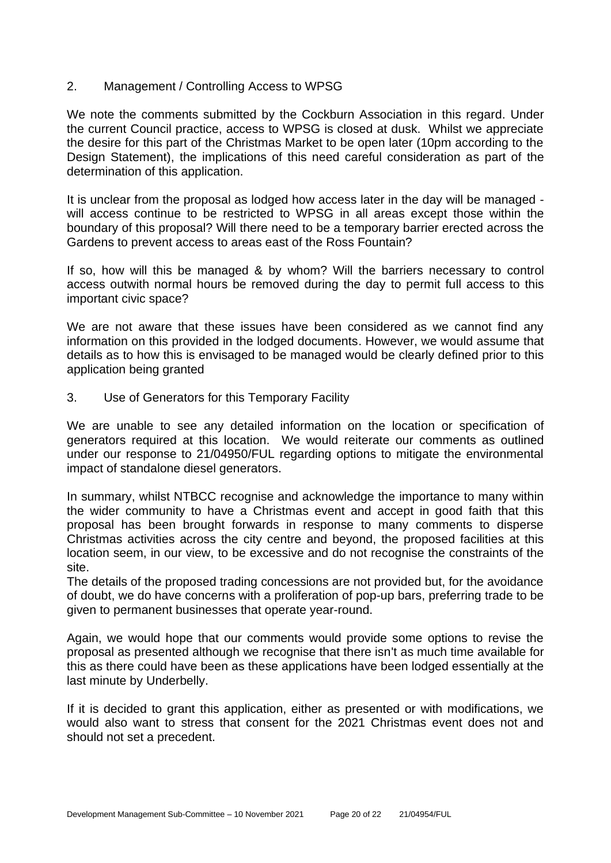#### 2. Management / Controlling Access to WPSG

We note the comments submitted by the Cockburn Association in this regard. Under the current Council practice, access to WPSG is closed at dusk. Whilst we appreciate the desire for this part of the Christmas Market to be open later (10pm according to the Design Statement), the implications of this need careful consideration as part of the determination of this application.

It is unclear from the proposal as lodged how access later in the day will be managed will access continue to be restricted to WPSG in all areas except those within the boundary of this proposal? Will there need to be a temporary barrier erected across the Gardens to prevent access to areas east of the Ross Fountain?

If so, how will this be managed & by whom? Will the barriers necessary to control access outwith normal hours be removed during the day to permit full access to this important civic space?

We are not aware that these issues have been considered as we cannot find any information on this provided in the lodged documents. However, we would assume that details as to how this is envisaged to be managed would be clearly defined prior to this application being granted

3. Use of Generators for this Temporary Facility

We are unable to see any detailed information on the location or specification of generators required at this location. We would reiterate our comments as outlined under our response to 21/04950/FUL regarding options to mitigate the environmental impact of standalone diesel generators.

In summary, whilst NTBCC recognise and acknowledge the importance to many within the wider community to have a Christmas event and accept in good faith that this proposal has been brought forwards in response to many comments to disperse Christmas activities across the city centre and beyond, the proposed facilities at this location seem, in our view, to be excessive and do not recognise the constraints of the site.

The details of the proposed trading concessions are not provided but, for the avoidance of doubt, we do have concerns with a proliferation of pop-up bars, preferring trade to be given to permanent businesses that operate year-round.

Again, we would hope that our comments would provide some options to revise the proposal as presented although we recognise that there isn't as much time available for this as there could have been as these applications have been lodged essentially at the last minute by Underbelly.

If it is decided to grant this application, either as presented or with modifications, we would also want to stress that consent for the 2021 Christmas event does not and should not set a precedent.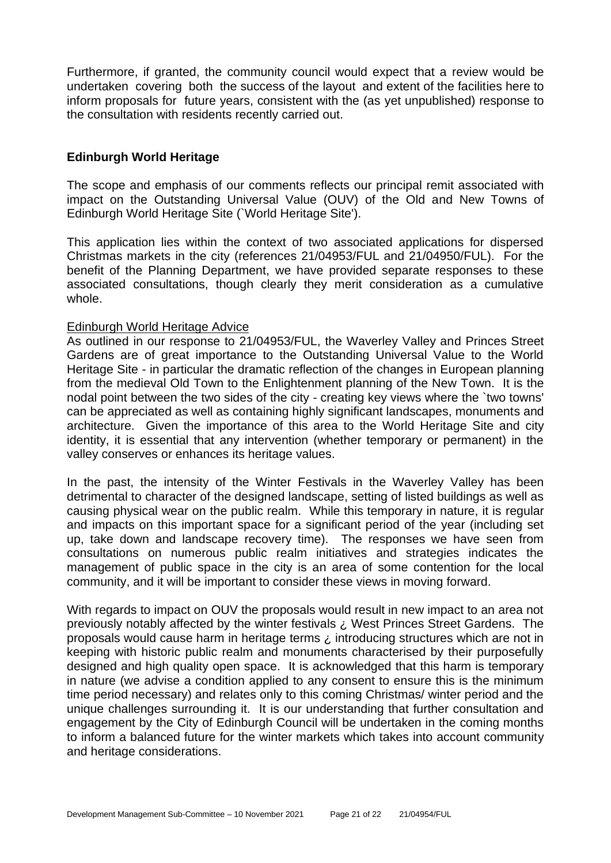Furthermore, if granted, the community council would expect that a review would be undertaken covering both the success of the layout and extent of the facilities here to inform proposals for future years, consistent with the (as yet unpublished) response to the consultation with residents recently carried out.

# **Edinburgh World Heritage**

The scope and emphasis of our comments reflects our principal remit associated with impact on the Outstanding Universal Value (OUV) of the Old and New Towns of Edinburgh World Heritage Site (`World Heritage Site').

This application lies within the context of two associated applications for dispersed Christmas markets in the city (references 21/04953/FUL and 21/04950/FUL). For the benefit of the Planning Department, we have provided separate responses to these associated consultations, though clearly they merit consideration as a cumulative whole.

#### Edinburgh World Heritage Advice

As outlined in our response to 21/04953/FUL, the Waverley Valley and Princes Street Gardens are of great importance to the Outstanding Universal Value to the World Heritage Site - in particular the dramatic reflection of the changes in European planning from the medieval Old Town to the Enlightenment planning of the New Town. It is the nodal point between the two sides of the city - creating key views where the `two towns' can be appreciated as well as containing highly significant landscapes, monuments and architecture. Given the importance of this area to the World Heritage Site and city identity, it is essential that any intervention (whether temporary or permanent) in the valley conserves or enhances its heritage values.

In the past, the intensity of the Winter Festivals in the Waverley Valley has been detrimental to character of the designed landscape, setting of listed buildings as well as causing physical wear on the public realm. While this temporary in nature, it is regular and impacts on this important space for a significant period of the year (including set up, take down and landscape recovery time). The responses we have seen from consultations on numerous public realm initiatives and strategies indicates the management of public space in the city is an area of some contention for the local community, and it will be important to consider these views in moving forward.

With regards to impact on OUV the proposals would result in new impact to an area not previously notably affected by the winter festivals ¿ West Princes Street Gardens. The proposals would cause harm in heritage terms ¿ introducing structures which are not in keeping with historic public realm and monuments characterised by their purposefully designed and high quality open space. It is acknowledged that this harm is temporary in nature (we advise a condition applied to any consent to ensure this is the minimum time period necessary) and relates only to this coming Christmas/ winter period and the unique challenges surrounding it. It is our understanding that further consultation and engagement by the City of Edinburgh Council will be undertaken in the coming months to inform a balanced future for the winter markets which takes into account community and heritage considerations.